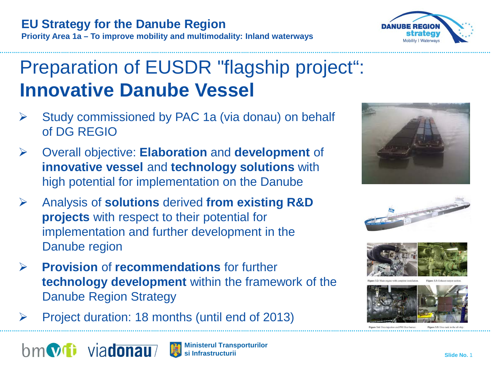

Preparation of EUSDR "flagship project": **Innovative Danube Vessel**

- Study commissioned by PAC 1a (via donau) on behalf of DG REGIO
- Overall objective: **Elaboration** and **development** of **innovative vessel** and **technology solutions** with high potential for implementation on the Danube
- Analysis of **solutions** derived **from existing R&D projects** with respect to their potential for implementation and further development in the Danube region
- **Provision** of **recommendations** for further **technology development** within the framework of the Danube Region Strategy
- Project duration: 18 months (until end of 2013)

bm**vi** viadonau



**Priority Area 1a – To improve mobility and multimodality: Inland waterways**











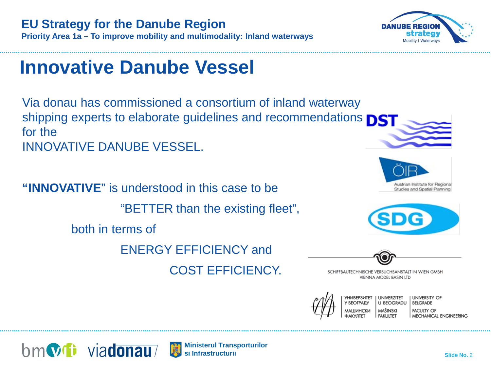



**Priority Area 1a – To improve mobility and multimodality: Inland waterways**

**EU Strategy for the Danube Region**

Via donau has commissioned a consortium of inland waterway shipping experts to elaborate guidelines and recommendations **DST** for the INNOVATIVE DANUBE VESSEL.

**"INNOVATIVE**" is understood in this case to be "BETTER than the existing fleet", both in terms of ENERGY EFFICIENCY and COST EFFICIENCY.





SCHIFFBAUTECHNISCHE VERSUCHSANSTALT IN WIEN GMBH VIENNA MODEL BASIN LTD





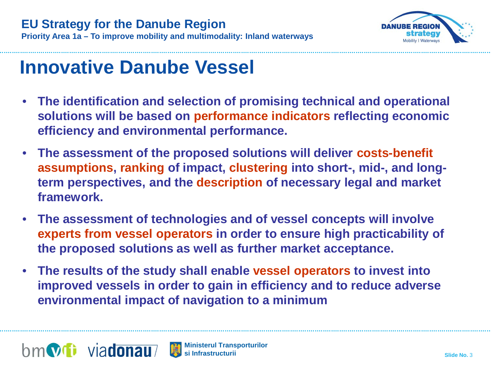

- **The identification and selection of promising technical and operational solutions will be based on performance indicators reflecting economic efficiency and environmental performance.**
- **The assessment of the proposed solutions will deliver costs-benefit assumptions, ranking of impact, clustering into short-, mid-, and longterm perspectives, and the description of necessary legal and market framework.**
- **The assessment of technologies and of vessel concepts will involve experts from vessel operators in order to ensure high practicability of the proposed solutions as well as further market acceptance.**
- **The results of the study shall enable vessel operators to invest into improved vessels in order to gain in efficiency and to reduce adverse environmental impact of navigation to a minimum**

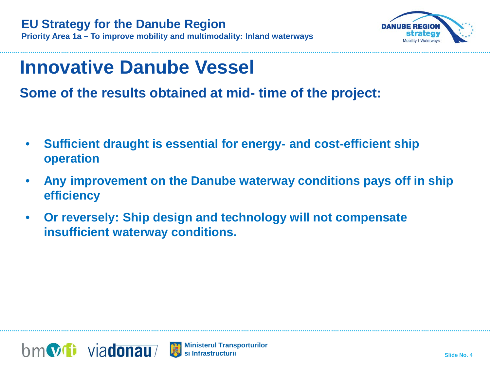

**Some of the results obtained at mid- time of the project:** 

- **Sufficient draught is essential for energy- and cost-efficient ship operation**
- **Any improvement on the Danube waterway conditions pays off in ship efficiency**
- **Or reversely: Ship design and technology will not compensate insufficient waterway conditions.**



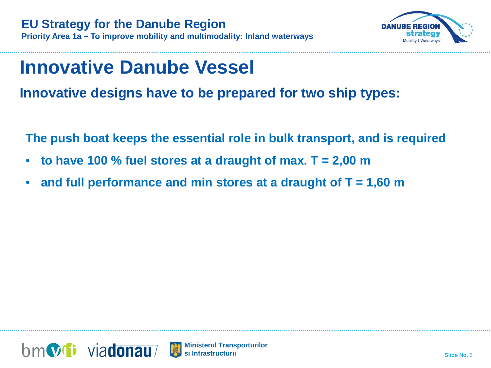

**Innovative designs have to be prepared for two ship types:** 

**The push boat keeps the essential role in bulk transport, and is required**

- **to have 100 % fuel stores at a draught of max. T = 2,00 m**
- **and full performance and min stores at a draught of T = 1,60 m**



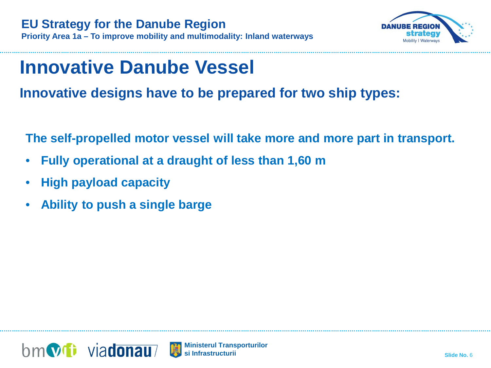

**Innovative designs have to be prepared for two ship types:** 

**The self-propelled motor vessel will take more and more part in transport.** 

- **Fully operational at a draught of less than 1,60 m**
- **High payload capacity**
- **Ability to push a single barge**

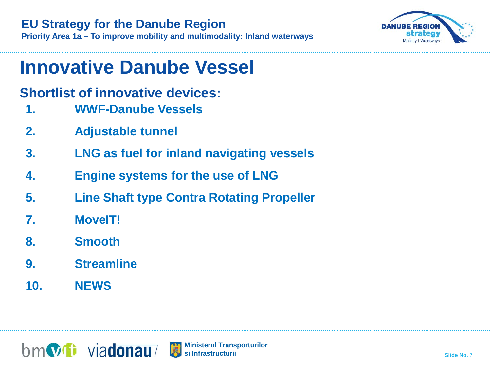### **EU Strategy for the Danube Region**

**Priority Area 1a – To improve mobility and multimodality: Inland waterways**



# **Innovative Danube Vessel**

## **Shortlist of innovative devices:**

- **1. WWF-Danube Vessels**
- **2. Adjustable tunnel**
- **3. LNG as fuel for inland navigating vessels**
- **4. Engine systems for the use of LNG**
- **5. Line Shaft type Contra Rotating Propeller**
- **7. MoveIT!**
- **8. Smooth**
- **9. Streamline**
- **10. NEWS**

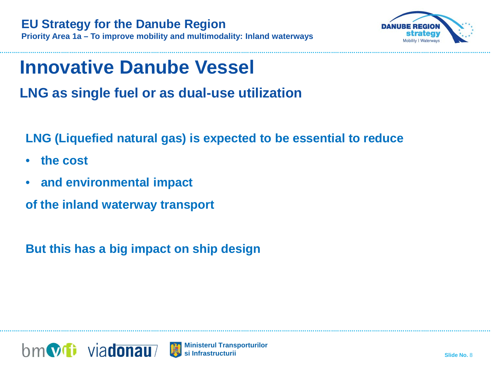

**LNG as single fuel or as dual-use utilization** 

**LNG (Liquefied natural gas) is expected to be essential to reduce** 

- **the cost**
- **and environmental impact**

**of the inland waterway transport** 

**But this has a big impact on ship design** 

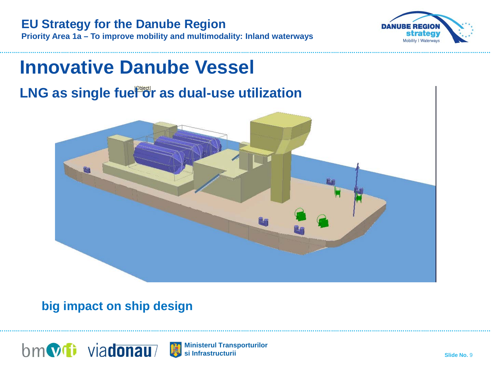



# **Innovative Danube Vessel LNG as single fuel or as dual-use utilization**

### **big impact on ship design**



**Ministerul Transporturilor** 蘭 **si Infrastructurii**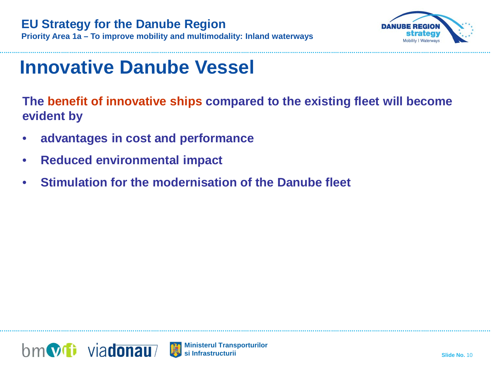### **EU Strategy for the Danube Region Priority Area 1a – To improve mobility and multimodality: Inland waterways**



# **Innovative Danube Vessel**

**The benefit of innovative ships compared to the existing fleet will become evident by**

- **advantages in cost and performance**
- **Reduced environmental impact**
- **Stimulation for the modernisation of the Danube fleet**